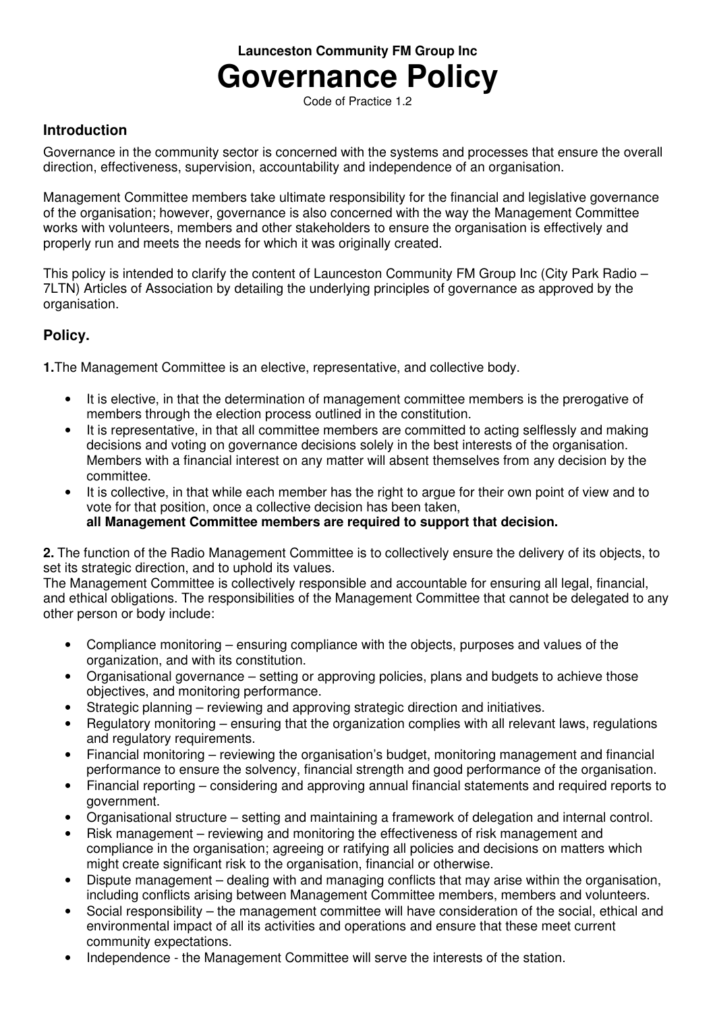# **Launceston Community FM Group Inc Governance Policy**

Code of Practice 1.2

## **Introduction**

Governance in the community sector is concerned with the systems and processes that ensure the overall direction, effectiveness, supervision, accountability and independence of an organisation.

Management Committee members take ultimate responsibility for the financial and legislative governance of the organisation; however, governance is also concerned with the way the Management Committee works with volunteers, members and other stakeholders to ensure the organisation is effectively and properly run and meets the needs for which it was originally created.

This policy is intended to clarify the content of Launceston Community FM Group Inc (City Park Radio – 7LTN) Articles of Association by detailing the underlying principles of governance as approved by the organisation.

# **Policy.**

**1.**The Management Committee is an elective, representative, and collective body.

- It is elective, in that the determination of management committee members is the prerogative of members through the election process outlined in the constitution.
- It is representative, in that all committee members are committed to acting selflessly and making decisions and voting on governance decisions solely in the best interests of the organisation. Members with a financial interest on any matter will absent themselves from any decision by the committee.
- It is collective, in that while each member has the right to argue for their own point of view and to vote for that position, once a collective decision has been taken, **all Management Committee members are required to support that decision.**

**2.** The function of the Radio Management Committee is to collectively ensure the delivery of its objects, to set its strategic direction, and to uphold its values.

The Management Committee is collectively responsible and accountable for ensuring all legal, financial, and ethical obligations. The responsibilities of the Management Committee that cannot be delegated to any other person or body include:

- Compliance monitoring ensuring compliance with the objects, purposes and values of the organization, and with its constitution.
- Organisational governance setting or approving policies, plans and budgets to achieve those objectives, and monitoring performance.
- Strategic planning reviewing and approving strategic direction and initiatives.
- Regulatory monitoring ensuring that the organization complies with all relevant laws, regulations and regulatory requirements.
- Financial monitoring reviewing the organisation's budget, monitoring management and financial performance to ensure the solvency, financial strength and good performance of the organisation.
- Financial reporting considering and approving annual financial statements and required reports to government.
- Organisational structure setting and maintaining a framework of delegation and internal control.
- Risk management reviewing and monitoring the effectiveness of risk management and compliance in the organisation; agreeing or ratifying all policies and decisions on matters which might create significant risk to the organisation, financial or otherwise.
- Dispute management dealing with and managing conflicts that may arise within the organisation, including conflicts arising between Management Committee members, members and volunteers.
- Social responsibility the management committee will have consideration of the social, ethical and environmental impact of all its activities and operations and ensure that these meet current community expectations.
- Independence the Management Committee will serve the interests of the station.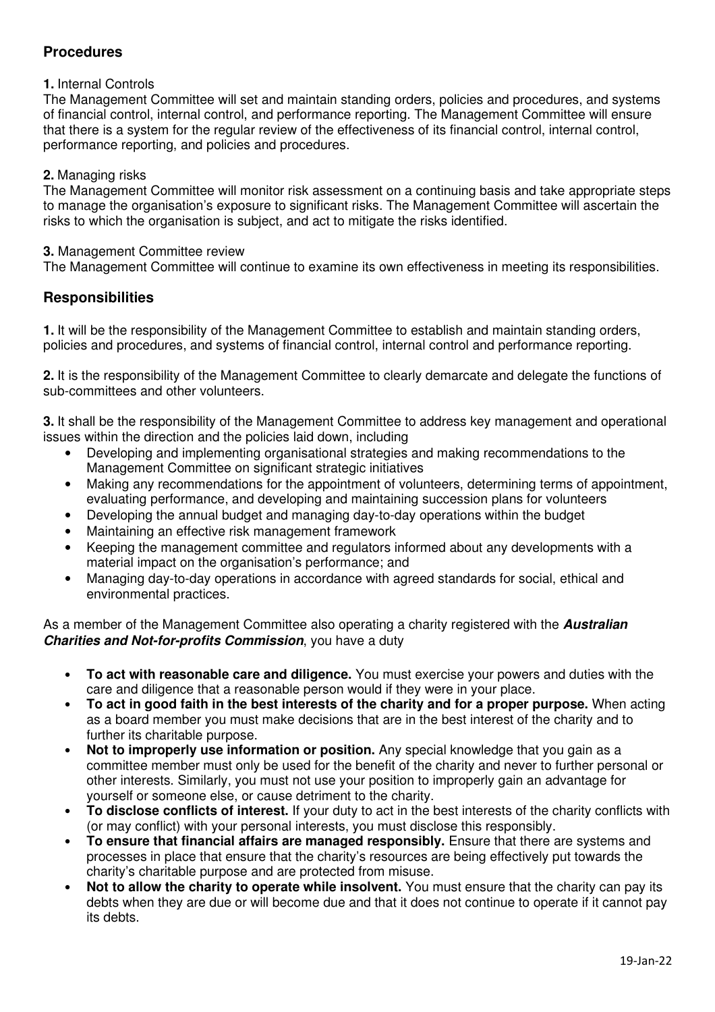## **Procedures**

#### **1.** Internal Controls

The Management Committee will set and maintain standing orders, policies and procedures, and systems of financial control, internal control, and performance reporting. The Management Committee will ensure that there is a system for the regular review of the effectiveness of its financial control, internal control, performance reporting, and policies and procedures.

#### **2.** Managing risks

The Management Committee will monitor risk assessment on a continuing basis and take appropriate steps to manage the organisation's exposure to significant risks. The Management Committee will ascertain the risks to which the organisation is subject, and act to mitigate the risks identified.

#### **3.** Management Committee review

The Management Committee will continue to examine its own effectiveness in meeting its responsibilities.

## **Responsibilities**

**1.** It will be the responsibility of the Management Committee to establish and maintain standing orders, policies and procedures, and systems of financial control, internal control and performance reporting.

**2.** It is the responsibility of the Management Committee to clearly demarcate and delegate the functions of sub-committees and other volunteers.

**3.** It shall be the responsibility of the Management Committee to address key management and operational issues within the direction and the policies laid down, including

- Developing and implementing organisational strategies and making recommendations to the Management Committee on significant strategic initiatives
- Making any recommendations for the appointment of volunteers, determining terms of appointment, evaluating performance, and developing and maintaining succession plans for volunteers
- Developing the annual budget and managing day-to-day operations within the budget
- Maintaining an effective risk management framework
- Keeping the management committee and regulators informed about any developments with a material impact on the organisation's performance; and
- Managing day-to-day operations in accordance with agreed standards for social, ethical and environmental practices.

As a member of the Management Committee also operating a charity registered with the **Australian Charities and Not-for-profits Commission**, you have a duty

- **To act with reasonable care and diligence.** You must exercise your powers and duties with the care and diligence that a reasonable person would if they were in your place.
- **To act in good faith in the best interests of the charity and for a proper purpose.** When acting as a board member you must make decisions that are in the best interest of the charity and to further its charitable purpose.
- **Not to improperly use information or position.** Any special knowledge that you gain as a committee member must only be used for the benefit of the charity and never to further personal or other interests. Similarly, you must not use your position to improperly gain an advantage for yourself or someone else, or cause detriment to the charity.
- **To disclose conflicts of interest.** If your duty to act in the best interests of the charity conflicts with (or may conflict) with your personal interests, you must disclose this responsibly.
- **To ensure that financial affairs are managed responsibly.** Ensure that there are systems and processes in place that ensure that the charity's resources are being effectively put towards the charity's charitable purpose and are protected from misuse.
- **Not to allow the charity to operate while insolvent.** You must ensure that the charity can pay its debts when they are due or will become due and that it does not continue to operate if it cannot pay its debts.